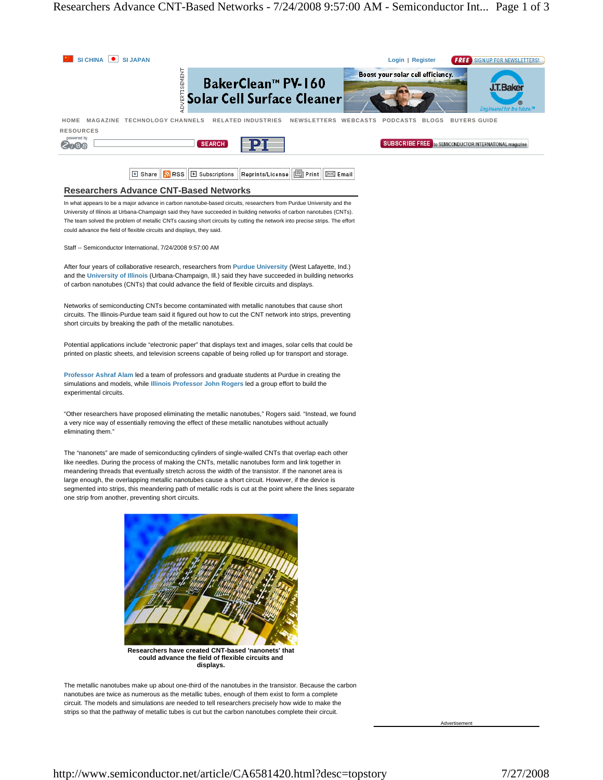

nanotubes are twice as numerous as the metallic tubes, enough of them exist to form a complete circuit. The models and simulations are needed to tell researchers precisely how wide to make the strips so that the pathway of metallic tubes is cut but the carbon nanotubes complete their circuit.

Advertisement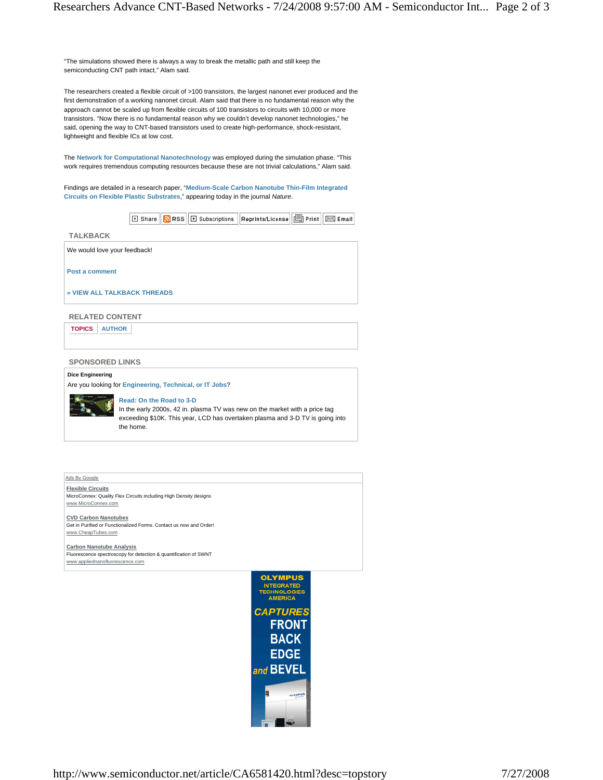"The simulations showed there is always a way to break the metallic path and still keep the semiconducting CNT path intact," Alam said.

The researchers created a flexible circuit of >100 transistors, the largest nanonet ever produced and the first demonstration of a working nanonet circuit. Alam said that there is no fundamental reason why the approach cannot be scaled up from flexible circuits of 100 transistors to circuits with 10,000 or more transistors. "Now there is no fundamental reason why we couldn't develop nanonet technologies," he said, opening the way to CNT-based transistors used to create high-performance, shock-resistant, lightweight and flexible ICs at low cost.

The **Network for Computational Nanotechnology** was employed during the simulation phase. "This work requires tremendous computing resources because these are not trivial calculations," Alam said.

Findings are detailed in a research paper, "**Medium-Scale Carbon Nanotube Thin-Film Integrated Circuits on Flexible Plastic Substrates**," appearing today in the journal *Nature*.

 $|\mathbb{E}|$  Share  $\|\mathbf{\Omega}\|$ RSS  $\|\mathbb{E}|$  Subscriptions  $\|$  Reprints/License  $\|\mathbf{\Xi}\|$  Print  $\|\mathbf{\Xi}\|$  Email  $\|$ 

We would love your feedback!

**Post a comment**

**TALKBACK** 

**» VIEW ALL TALKBACK THREADS**

### **RELATED CONTENT**

**TOPICS AUTHOR** 

**SPONSORED LINKS** 

### **Dice Engineering**

Are you looking for **Engineering, Technical, or IT Jobs**?



## **Read: On the Road to 3-D**

In the early 2000s, 42 in. plasma TV was new on the market with a price tag exceeding \$10K. This year, LCD has overtaken plasma and 3-D TV is going into the home.

Ads By Google

**Flexible Circuits** MicroConnex: Quality Flex Circuits including High Density designs www.MicroConnex.com

# **CVD Carbon Nanotubes**

Get in Purified or Functionalized Forms. Contact us now and Order! www.CheapTubes.com

**Carbon Nanotube Analysis** Fluorescence spectroscopy for detection & quantification of SWNT www.appliednanofluorescence.com